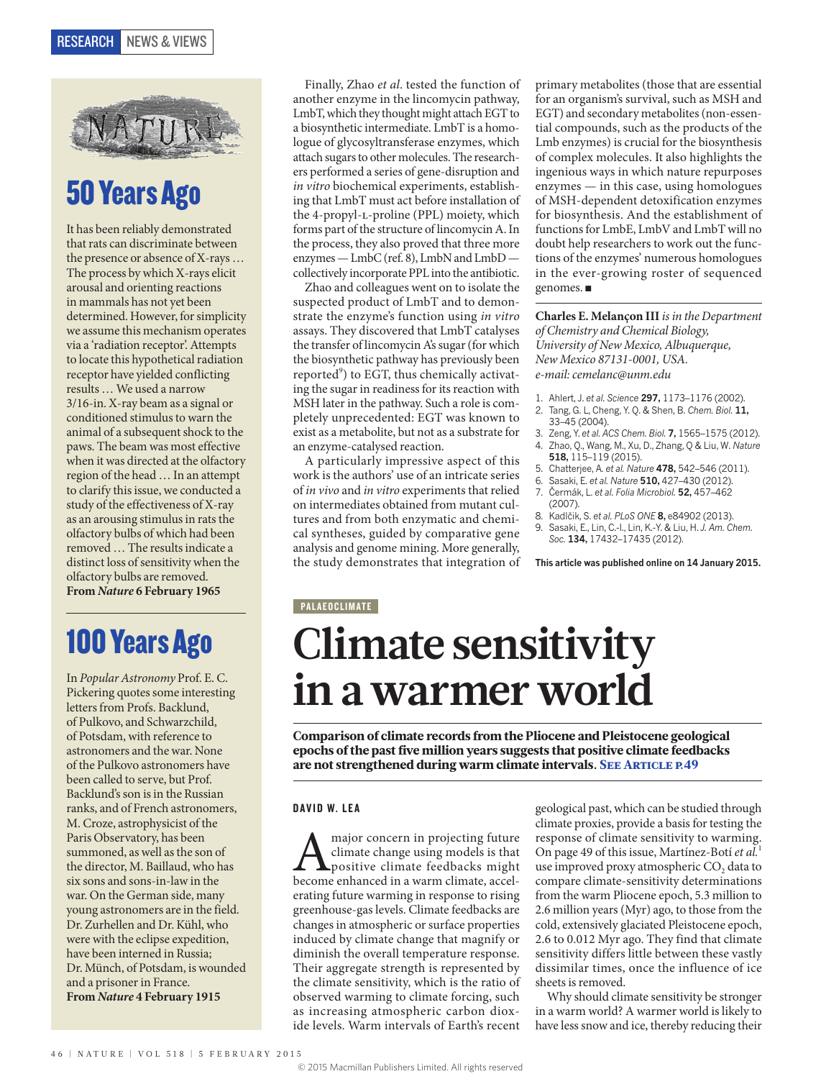

### 50 Years Ago

It has been reliably demonstrated that rats can discriminate between the presence or absence of X-rays … The process by which X-rays elicit arousal and orienting reactions in mammals has not yet been determined. However, for simplicity we assume this mechanism operates via a 'radiation receptor'. Attempts to locate this hypothetical radiation receptor have yielded conflicting results … We used a narrow 3/16-in. X-ray beam as a signal or conditioned stimulus to warn the animal of a subsequent shock to the paws. The beam was most effective when it was directed at the olfactory region of the head … In an attempt to clarify this issue, we conducted a study of the effectiveness of X-ray as an arousing stimulus in rats the olfactory bulbs of which had been removed … The results indicate a distinct loss of sensitivity when the olfactory bulbs are removed. **From** *Nature* **6 February 1965**

## 100 Years Ago

In *Popular Astronomy* Prof. E. C. Pickering quotes some interesting letters from Profs. Backlund, of Pulkovo, and Schwarzchild, of Potsdam, with reference to astronomers and the war. None of the Pulkovo astronomers have been called to serve, but Prof. Backlund's son is in the Russian ranks, and of French astronomers, M. Croze, astrophysicist of the Paris Observatory, has been summoned, as well as the son of the director, M. Baillaud, who has six sons and sons-in-law in the war. On the German side, many young astronomers are in the field. Dr. Zurhellen and Dr. Kühl, who were with the eclipse expedition, have been interned in Russia; Dr. Münch, of Potsdam, is wounded and a prisoner in France. **From** *Nature* **4 February 1915**

Finally, Zhao *et al*. tested the function of another enzyme in the lincomycin pathway, LmbT, which they thought might attach EGT to a biosynthetic intermediate. LmbT is a homologue of glycosyltransferase enzymes, which attach sugars to other molecules. The researchers performed a series of gene-disruption and *in vitro* biochemical experiments, establishing that LmbT must act before installation of the 4-propyl-L-proline (PPL) moiety, which forms part of the structure of lincomycin A. In the process, they also proved that three more enzymes — LmbC (ref. 8), LmbN and LmbD collectively incorporate PPL into the antibiotic.

Zhao and colleagues went on to isolate the suspected product of LmbT and to demonstrate the enzyme's function using *in vitro*  assays. They discovered that LmbT catalyses the transfer of lincomycin A's sugar (for which the biosynthetic pathway has previously been reported<sup>9</sup>) to EGT, thus chemically activating the sugar in readiness for its reaction with MSH later in the pathway. Such a role is completely unprecedented: EGT was known to exist as a metabolite, but not as a substrate for an enzyme-catalysed reaction.

A particularly impressive aspect of this work is the authors' use of an intricate series of *in vivo* and *in vitro* experiments that relied on intermediates obtained from mutant cultures and from both enzymatic and chemical syntheses, guided by comparative gene analysis and genome mining. More generally, the study demonstrates that integration of primary metabolites (those that are essential for an organism's survival, such as MSH and EGT) and secondary metabolites (non-essential compounds, such as the products of the Lmb enzymes) is crucial for the biosynthesis of complex molecules. It also highlights the ingenious ways in which nature repurposes enzymes — in this case, using homologues of MSH-dependent detoxification enzymes for biosynthesis. And the establishment of functions for LmbE, LmbV and LmbT will no doubt help researchers to work out the functions of the enzymes' numerous homologues in the ever-growing roster of sequenced genomes. ■

**Charles E. Melançon III** *is in the Department of Chemistry and Chemical Biology, University of New Mexico, Albuquerque, New Mexico 87131-0001, USA. e-mail: cemelanc@unm.edu*

- 1. Ahlert, J. *et al. Science* **297,** 1173–1176 (2002).
- 2. Tang, G. L, Cheng, Y. Q. & Shen, B. *Chem. Biol.* **11,**  33–45 (2004).
- 3. Zeng, Y. *et al. ACS Chem. Biol.* **7,** 1565–1575 (2012). 4. Zhao, Q., Wang, M., Xu, D., Zhang, Q & Liu, W. *Nature*
- **518,** 115–119 (2015).
- 5. Chatterjee, A. *et al. Nature* **478,** 542–546 (2011).
- 6. Sasaki, E. *et al. Nature* **510,** 427–430 (2012).
- 7. Čermák, L. *et al. Folia Microbiol.* **52,** 457–462 (2007).
- 8. Kadlčik, S. *et al. PLoS ONE* **8,** e84902 (2013).
- 9. Sasaki, E., Lin, C.-I., Lin, K.-Y. & Liu, H. *J. Am. Chem. Soc.* **134,** 17432–17435 (2012).

**This article was published online on 14 January 2015.**

#### **PALAEOCLIMATE**

# **Climate sensitivity in a warmer world**

Comparison of climate records from the Pliocene and Pleistocene geological epochs of the past five million years suggests that positive climate feedbacks are not strengthened during warm climate intervals. SEE ARTICLE P.49

#### DAVID W. LEA

A major concern in projecting future<br>climate change using models is that<br>become enhanced in a warm climate, accelclimate change using models is that positive climate feedbacks might erating future warming in response to rising greenhouse-gas levels. Climate feedbacks are changes in atmospheric or surface properties induced by climate change that magnify or diminish the overall temperature response. Their aggregate strength is represented by the climate sensitivity, which is the ratio of observed warming to climate forcing, such as increasing atmospheric carbon dioxide levels. Warm intervals of Earth's recent geological past, which can be studied through climate proxies, provide a basis for testing the response of climate sensitivity to warming. On page 49 of this issue, Martínez-Botí *et al.*<sup>1</sup> use improved proxy atmospheric CO<sub>2</sub> data to compare climate-sensitivity determinations from the warm Pliocene epoch, 5.3 million to 2.6 million years (Myr) ago, to those from the cold, extensively glaciated Pleistocene epoch, 2.6 to 0.012 Myr ago. They find that climate sensitivity differs little between these vastly dissimilar times, once the influence of ice sheets is removed.

Why should climate sensitivity be stronger in a warm world? A warmer world is likely to have less snow and ice, thereby reducing their